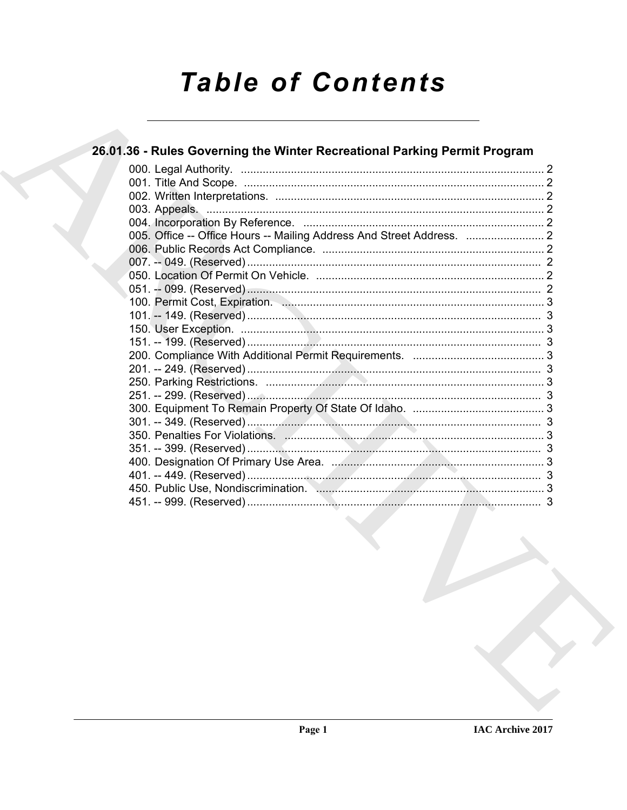# **Table of Contents**

### 26.01.36 - Rules Governing the Winter Recreational Parking Permit Program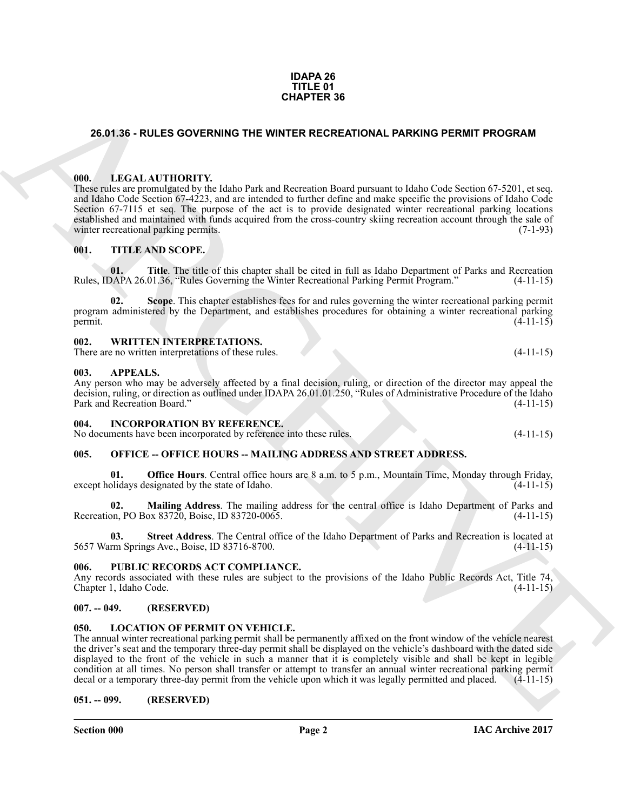#### **IDAPA 26 TITLE 01 CHAPTER 36**

#### <span id="page-1-0"></span>**26.01.36 - RULES GOVERNING THE WINTER RECREATIONAL PARKING PERMIT PROGRAM**

#### <span id="page-1-1"></span>**000. LEGAL AUTHORITY.**

**26.01.36 - RULES OOVERINNO THE WINTER RECREATIONAL PARKING PERMIT PROGRAM**<br>
1990. LEGAL AUTIONIATY is labor but and Recorded Participation is labor Cole Section 67-250. It is equilibrium to the Cole of the Cole of the Co These rules are promulgated by the Idaho Park and Recreation Board pursuant to Idaho Code Section 67-5201, et seq. and Idaho Code Section 67-4223, and are intended to further define and make specific the provisions of Idaho Code Section 67-7115 et seq. The purpose of the act is to provide designated winter recreational parking locations established and maintained with funds acquired from the cross-country skiing recreation account through the sale of winter recreational parking permits. (7-1-93) winter recreational parking permits.

#### <span id="page-1-2"></span>**001. TITLE AND SCOPE.**

**01.** Title. The title of this chapter shall be cited in full as Idaho Department of Parks and Recreation DAPA 26.01.36, "Rules Governing the Winter Recreational Parking Permit Program." (4-11-15) Rules, IDAPA 26.01.36, "Rules Governing the Winter Recreational Parking Permit Program."

**Scope**. This chapter establishes fees for and rules governing the winter recreational parking permit program administered by the Department, and establishes procedures for obtaining a winter recreational parking permit.  $(4-11-15)$ 

#### <span id="page-1-3"></span>**002. WRITTEN INTERPRETATIONS.**

There are no written interpretations of these rules. (4-11-15)

#### <span id="page-1-4"></span>**003. APPEALS.**

Any person who may be adversely affected by a final decision, ruling, or direction of the director may appeal the decision, ruling, or direction as outlined under IDAPA 26.01.01.250, "Rules of Administrative Procedure of the Idaho<br>Park and Recreation Board." (4-11-15) Park and Recreation Board."

<span id="page-1-5"></span>

| <b>INCORPORATION BY REFERENCE.</b><br>004. |
|--------------------------------------------|
|--------------------------------------------|

| No documents have been incorporated by reference into these rules. | $(4-11-15)$ |
|--------------------------------------------------------------------|-------------|
|--------------------------------------------------------------------|-------------|

#### <span id="page-1-6"></span>005. OFFICE -- OFFICE HOURS -- MAILING ADDRESS AND STREET ADDRESS.

**Office Hours**. Central office hours are 8 a.m. to 5 p.m., Mountain Time, Monday through Friday, except holidays designated by the state of Idaho. (4-11-15)

**02. Mailing Address**. The mailing address for the central office is Idaho Department of Parks and Recreation, PO Box 83720, Boise, ID 83720-0065.

**03. Street Address**. The Central office of the Idaho Department of Parks and Recreation is located at 5657 Warm Springs Ave., Boise, ID 83716-8700. (4-11-15)

#### <span id="page-1-7"></span>**006. PUBLIC RECORDS ACT COMPLIANCE.**

Any records associated with these rules are subject to the provisions of the Idaho Public Records Act, Title 74, Chapter 1, Idaho Code. (4-11-15) Chapter 1, Idaho Code.

#### <span id="page-1-8"></span>**007. -- 049. (RESERVED)**

#### <span id="page-1-11"></span><span id="page-1-9"></span>**050. LOCATION OF PERMIT ON VEHICLE.**

The annual winter recreational parking permit shall be permanently affixed on the front window of the vehicle nearest the driver's seat and the temporary three-day permit shall be displayed on the vehicle's dashboard with the dated side displayed to the front of the vehicle in such a manner that it is completely visible and shall be kept in legible condition at all times. No person shall transfer or attempt to transfer an annual winter recreational parking permit decal or a temporary three-day permit from the vehicle upon which it was legally permitted and placed. (4 decal or a temporary three-day permit from the vehicle upon which it was legally permitted and placed.

#### <span id="page-1-10"></span>**051. -- 099. (RESERVED)**

**Section 000 Page 2**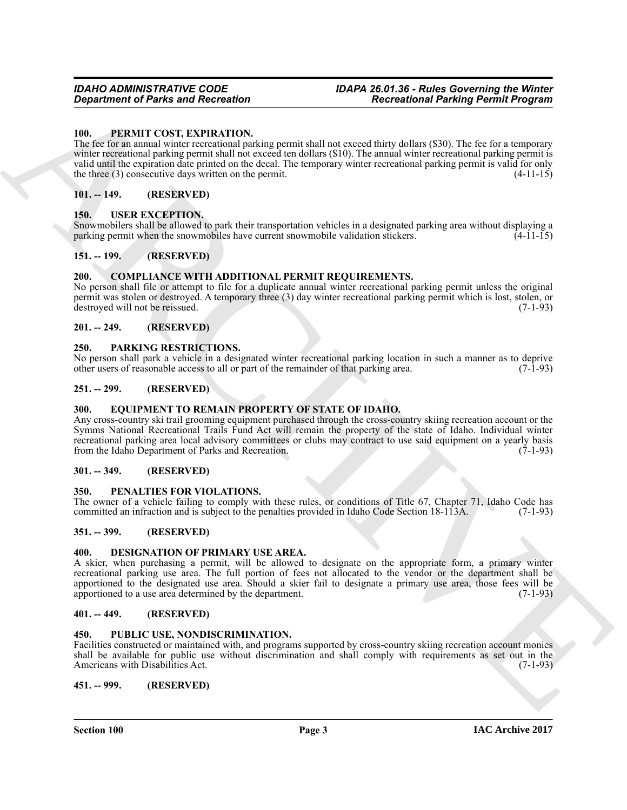#### <span id="page-2-21"></span><span id="page-2-0"></span>**100. PERMIT COST, EXPIRATION.**

**Experiment of Parks and Recreation**<br>
The resultation of Parks and Recreation<br>
The REMIT COST EXPIRATION (The resultation of the state of the state of the state of the state of the state of the state<br>
The first cost of th The fee for an annual winter recreational parking permit shall not exceed thirty dollars (\$30). The fee for a temporary winter recreational parking permit shall not exceed ten dollars (\$10). The annual winter recreational parking permit is valid until the expiration date printed on the decal. The temporary winter recreational parking permit is valid for only the three (3) consecutive days written on the permit.  $(4-11-15)$ 

#### <span id="page-2-1"></span>**101. -- 149. (RESERVED)**

#### <span id="page-2-23"></span><span id="page-2-2"></span>**150. USER EXCEPTION.**

Snowmobilers shall be allowed to park their transportation vehicles in a designated parking area without displaying a parking permit when the snowmobiles have current snowmobile validation stickers.

#### <span id="page-2-3"></span>**151. -- 199. (RESERVED)**

#### <span id="page-2-16"></span><span id="page-2-4"></span>**200. COMPLIANCE WITH ADDITIONAL PERMIT REQUIREMENTS.**

No person shall file or attempt to file for a duplicate annual winter recreational parking permit unless the original permit was stolen or destroyed. A temporary three (3) day winter recreational parking permit which is lost, stolen, or destroyed will not be reissued. (7-1-93)

#### <span id="page-2-5"></span>**201. -- 249. (RESERVED)**

#### <span id="page-2-19"></span><span id="page-2-6"></span>**250. PARKING RESTRICTIONS.**

No person shall park a vehicle in a designated winter recreational parking location in such a manner as to deprive other users of reasonable access to all or part of the remainder of that parking area. (7-1-93)

#### <span id="page-2-7"></span>**251. -- 299. (RESERVED)**

#### <span id="page-2-18"></span><span id="page-2-8"></span>**300. EQUIPMENT TO REMAIN PROPERTY OF STATE OF IDAHO.**

Any cross-country ski trail grooming equipment purchased through the cross-country skiing recreation account or the Symms National Recreational Trails Fund Act will remain the property of the state of Idaho. Individual winter recreational parking area local advisory committees or clubs may contract to use said equipment on a yearly basis from the Idaho Department of Parks and Recreation. (7-1-93) from the Idaho Department of Parks and Recreation.

#### <span id="page-2-9"></span>**301. -- 349. (RESERVED)**

#### <span id="page-2-20"></span><span id="page-2-10"></span>**350. PENALTIES FOR VIOLATIONS.**

The owner of a vehicle failing to comply with these rules, or conditions of Title 67, Chapter 71, Idaho Code has committed an infraction and is subject to the penalties provided in Idaho Code Section 18-113A. (7-1-93)

#### <span id="page-2-11"></span>**351. -- 399. (RESERVED)**

#### <span id="page-2-17"></span><span id="page-2-12"></span>**400. DESIGNATION OF PRIMARY USE AREA.**

A skier, when purchasing a permit, will be allowed to designate on the appropriate form, a primary winter recreational parking use area. The full portion of fees not allocated to the vendor or the department shall be apportioned to the designated use area. Should a skier fail to designate a primary use area, those fees will be apportioned to a use area determined by the department. (7-1-93) apportioned to a use area determined by the department.

#### <span id="page-2-13"></span>**401. -- 449. (RESERVED)**

#### <span id="page-2-22"></span><span id="page-2-14"></span>**450. PUBLIC USE, NONDISCRIMINATION.**

Facilities constructed or maintained with, and programs supported by cross-country skiing recreation account monies shall be available for public use without discrimination and shall comply with requirements as set out in the Americans with Disabilities Act. (7-1-93)

<span id="page-2-15"></span>**451. -- 999. (RESERVED)**